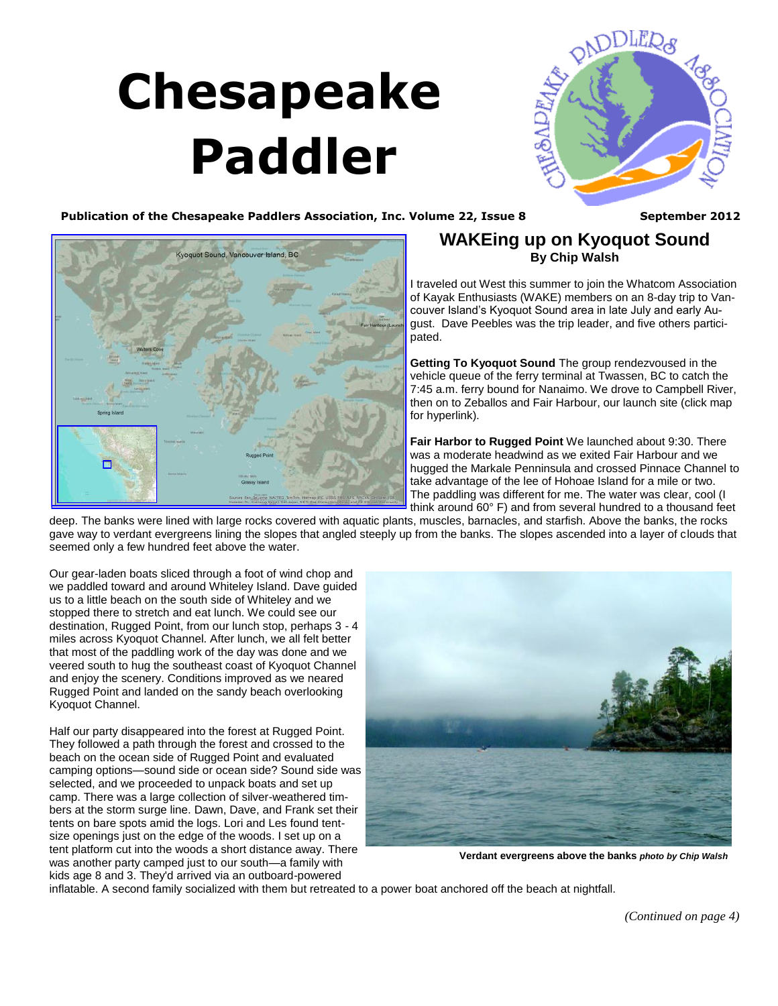# <span id="page-0-0"></span> **Chesapeake Paddler**



## Publication of the Chesapeake Paddlers Association, Inc. Volume 22, Issue 8 September 2012



# **WAKEing up on Kyoquot Sound By Chip Walsh**

I traveled out West this summer to join the Whatcom Association of Kayak Enthusiasts (WAKE) members on an 8-day trip to Vancouver Island's Kyoquot Sound area in late July and early August. Dave Peebles was the trip leader, and five others participated.

**Getting To Kyoquot Sound** The group rendezvoused in the vehicle queue of the ferry terminal at Twassen, BC to catch the 7:45 a.m. ferry bound for Nanaimo. We drove to Campbell River, then on to Zeballos and Fair Harbour, our launch site (click map for hyperlink).

**Fair Harbor to Rugged Point** We launched about 9:30. There was a moderate headwind as we exited Fair Harbour and we hugged the Markale Penninsula and crossed Pinnace Channel to take advantage of the lee of Hohoae Island for a mile or two. The paddling was different for me. The water was clear, cool (I think around 60° F) and from several hundred to a thousand feet

deep. The banks were lined with large rocks covered with aquatic plants, muscles, barnacles, and starfish. Above the banks, the rocks gave way to verdant evergreens lining the slopes that angled steeply up from the banks. The slopes ascended into a layer of clouds that seemed only a few hundred feet above the water.

Our gear-laden boats sliced through a foot of wind chop and we paddled toward and around Whiteley Island. Dave guided us to a little beach on the south side of Whiteley and we stopped there to stretch and eat lunch. We could see our destination, Rugged Point, from our lunch stop, perhaps 3 - 4 miles across Kyoquot Channel. After lunch, we all felt better that most of the paddling work of the day was done and we veered south to hug the southeast coast of Kyoquot Channel and enjoy the scenery. Conditions improved as we neared Rugged Point and landed on the sandy beach overlooking Kyoquot Channel.

Half our party disappeared into the forest at Rugged Point. They followed a path through the forest and crossed to the beach on the ocean side of Rugged Point and evaluated camping options—sound side or ocean side? Sound side was selected, and we proceeded to unpack boats and set up camp. There was a large collection of silver-weathered timbers at the storm surge line. Dawn, Dave, and Frank set their tents on bare spots amid the logs. Lori and Les found tentsize openings just on the edge of the woods. I set up on a tent platform cut into the woods a short distance away. There was another party camped just to our south—a family with kids age 8 and 3. They'd arrived via an outboard-powered



**Verdant evergreens above the banks** *photo by Chip Walsh*

inflatable. A second family socialized with them but retreated to a power boat anchored off the beach at nightfall.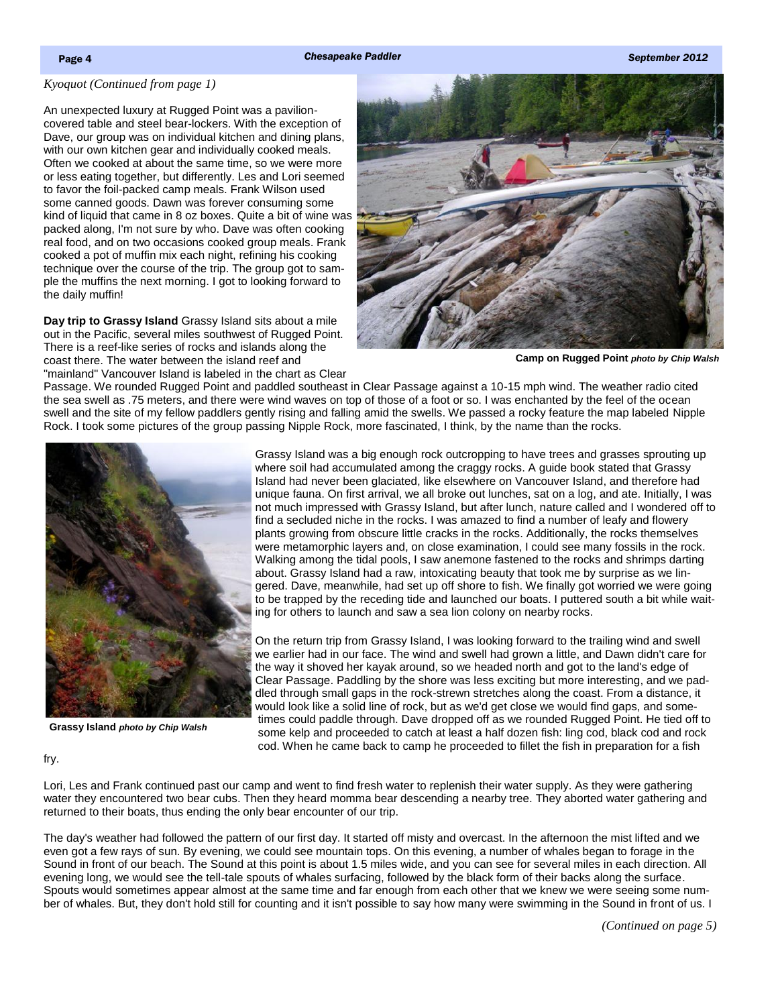#### <span id="page-1-0"></span>*[Kyoquot \(Continued from page 1\)](#page-0-0)*

An unexpected luxury at Rugged Point was a pavilioncovered table and steel bear-lockers. With the exception of Dave, our group was on individual kitchen and dining plans, with our own kitchen gear and individually cooked meals. Often we cooked at about the same time, so we were more or less eating together, but differently. Les and Lori seemed to favor the foil-packed camp meals. Frank Wilson used some canned goods. Dawn was forever consuming some kind of liquid that came in 8 oz boxes. Quite a bit of wine was packed along, I'm not sure by who. Dave was often cooking real food, and on two occasions cooked group meals. Frank cooked a pot of muffin mix each night, refining his cooking technique over the course of the trip. The group got to sample the muffins the next morning. I got to looking forward to the daily muffin!

**Day trip to Grassy Island** Grassy Island sits about a mile out in the Pacific, several miles southwest of Rugged Point. There is a reef-like series of rocks and islands along the coast there. The water between the island reef and "mainland" Vancouver Island is labeled in the chart as Clear



**Camp on Rugged Point** *photo by Chip Walsh*

Passage. We rounded Rugged Point and paddled southeast in Clear Passage against a 10-15 mph wind. The weather radio cited the sea swell as .75 meters, and there were wind waves on top of those of a foot or so. I was enchanted by the feel of the ocean swell and the site of my fellow paddlers gently rising and falling amid the swells. We passed a rocky feature the map labeled Nipple Rock. I took some pictures of the group passing Nipple Rock, more fascinated, I think, by the name than the rocks.



**Grassy Island** *photo by Chip Walsh*

Grassy Island was a big enough rock outcropping to have trees and grasses sprouting up where soil had accumulated among the craggy rocks. A guide book stated that Grassy Island had never been glaciated, like elsewhere on Vancouver Island, and therefore had unique fauna. On first arrival, we all broke out lunches, sat on a log, and ate. Initially, I was not much impressed with Grassy Island, but after lunch, nature called and I wondered off to find a secluded niche in the rocks. I was amazed to find a number of leafy and flowery plants growing from obscure little cracks in the rocks. Additionally, the rocks themselves were metamorphic layers and, on close examination, I could see many fossils in the rock. Walking among the tidal pools, I saw anemone fastened to the rocks and shrimps darting about. Grassy Island had a raw, intoxicating beauty that took me by surprise as we lingered. Dave, meanwhile, had set up off shore to fish. We finally got worried we were going to be trapped by the receding tide and launched our boats. I puttered south a bit while waiting for others to launch and saw a sea lion colony on nearby rocks.

On the return trip from Grassy Island, I was looking forward to the trailing wind and swell we earlier had in our face. The wind and swell had grown a little, and Dawn didn't care for the way it shoved her kayak around, so we headed north and got to the land's edge of Clear Passage. Paddling by the shore was less exciting but more interesting, and we paddled through small gaps in the rock-strewn stretches along the coast. From a distance, it would look like a solid line of rock, but as we'd get close we would find gaps, and sometimes could paddle through. Dave dropped off as we rounded Rugged Point. He tied off to some kelp and proceeded to catch at least a half dozen fish: ling cod, black cod and rock cod. When he came back to camp he proceeded to fillet the fish in preparation for a fish

#### fry.

Lori, Les and Frank continued past our camp and went to find fresh water to replenish their water supply. As they were gathering water they encountered two bear cubs. Then they heard momma bear descending a nearby tree. They aborted water gathering and returned to their boats, thus ending the only bear encounter of our trip.

The day's weather had followed the pattern of our first day. It started off misty and overcast. In the afternoon the mist lifted and we even got a few rays of sun. By evening, we could see mountain tops. On this evening, a number of whales began to forage in the Sound in front of our beach. The Sound at this point is about 1.5 miles wide, and you can see for several miles in each direction. All evening long, we would see the tell-tale spouts of whales surfacing, followed by the black form of their backs along the surface. Spouts would sometimes appear almost at the same time and far enough from each other that we knew we were seeing some number of whales. But, they don't hold still for counting and it isn't possible to say how many were swimming in the Sound in front of us. I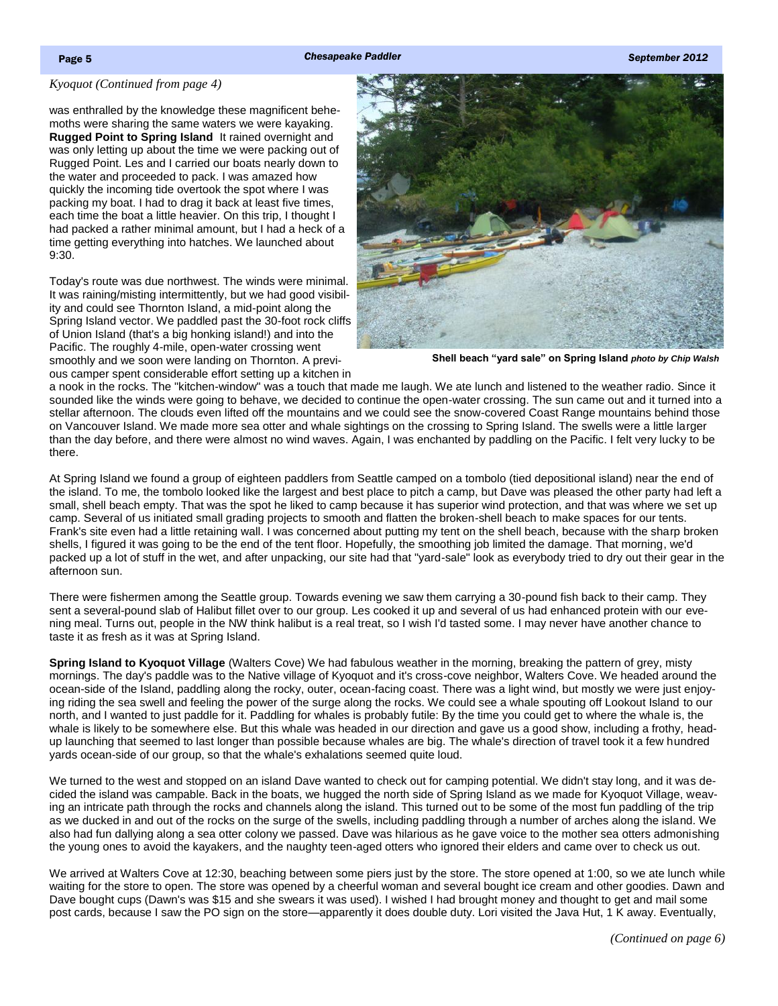#### <span id="page-2-0"></span>*[Kyoquot \(Continued from page 4\)](#page-1-0)*

was enthralled by the knowledge these magnificent behemoths were sharing the same waters we were kayaking. **Rugged Point to Spring Island** It rained overnight and was only letting up about the time we were packing out of Rugged Point. Les and I carried our boats nearly down to the water and proceeded to pack. I was amazed how quickly the incoming tide overtook the spot where I was packing my boat. I had to drag it back at least five times, each time the boat a little heavier. On this trip, I thought I had packed a rather minimal amount, but I had a heck of a time getting everything into hatches. We launched about 9:30.

Today's route was due northwest. The winds were minimal. It was raining/misting intermittently, but we had good visibility and could see Thornton Island, a mid-point along the Spring Island vector. We paddled past the 30-foot rock cliffs of Union Island (that's a big honking island!) and into the Pacific. The roughly 4-mile, open-water crossing went smoothly and we soon were landing on Thornton. A previous camper spent considerable effort setting up a kitchen in



**Shell beach "yard sale" on Spring Island** *photo by Chip Walsh*

a nook in the rocks. The "kitchen-window" was a touch that made me laugh. We ate lunch and listened to the weather radio. Since it sounded like the winds were going to behave, we decided to continue the open-water crossing. The sun came out and it turned into a stellar afternoon. The clouds even lifted off the mountains and we could see the snow-covered Coast Range mountains behind those on Vancouver Island. We made more sea otter and whale sightings on the crossing to Spring Island. The swells were a little larger than the day before, and there were almost no wind waves. Again, I was enchanted by paddling on the Pacific. I felt very lucky to be there.

At Spring Island we found a group of eighteen paddlers from Seattle camped on a tombolo (tied depositional island) near the end of the island. To me, the tombolo looked like the largest and best place to pitch a camp, but Dave was pleased the other party had left a small, shell beach empty. That was the spot he liked to camp because it has superior wind protection, and that was where we set up camp. Several of us initiated small grading projects to smooth and flatten the broken-shell beach to make spaces for our tents. Frank's site even had a little retaining wall. I was concerned about putting my tent on the shell beach, because with the sharp broken shells, I figured it was going to be the end of the tent floor. Hopefully, the smoothing job limited the damage. That morning, we'd packed up a lot of stuff in the wet, and after unpacking, our site had that "yard-sale" look as everybody tried to dry out their gear in the afternoon sun.

There were fishermen among the Seattle group. Towards evening we saw them carrying a 30-pound fish back to their camp. They sent a several-pound slab of Halibut fillet over to our group. Les cooked it up and several of us had enhanced protein with our evening meal. Turns out, people in the NW think halibut is a real treat, so I wish I'd tasted some. I may never have another chance to taste it as fresh as it was at Spring Island.

**Spring Island to Kyoquot Village** (Walters Cove) We had fabulous weather in the morning, breaking the pattern of grey, misty mornings. The day's paddle was to the Native village of Kyoquot and it's cross-cove neighbor, Walters Cove. We headed around the ocean-side of the Island, paddling along the rocky, outer, ocean-facing coast. There was a light wind, but mostly we were just enjoying riding the sea swell and feeling the power of the surge along the rocks. We could see a whale spouting off Lookout Island to our north, and I wanted to just paddle for it. Paddling for whales is probably futile: By the time you could get to where the whale is, the whale is likely to be somewhere else. But this whale was headed in our direction and gave us a good show, including a frothy, headup launching that seemed to last longer than possible because whales are big. The whale's direction of travel took it a few hundred yards ocean-side of our group, so that the whale's exhalations seemed quite loud.

We turned to the west and stopped on an island Dave wanted to check out for camping potential. We didn't stay long, and it was decided the island was campable. Back in the boats, we hugged the north side of Spring Island as we made for Kyoquot Village, weaving an intricate path through the rocks and channels along the island. This turned out to be some of the most fun paddling of the trip as we ducked in and out of the rocks on the surge of the swells, including paddling through a number of arches along the island. We also had fun dallying along a sea otter colony we passed. Dave was hilarious as he gave voice to the mother sea otters admonishing the young ones to avoid the kayakers, and the naughty teen-aged otters who ignored their elders and came over to check us out.

We arrived at Walters Cove at 12:30, beaching between some piers just by the store. The store opened at 1:00, so we ate lunch while waiting for the store to open. The store was opened by a cheerful woman and several bought ice cream and other goodies. Dawn and Dave bought cups (Dawn's was \$15 and she swears it was used). I wished I had brought money and thought to get and mail some post cards, because I saw the PO sign on the store—apparently it does double duty. Lori visited the Java Hut, 1 K away. Eventually,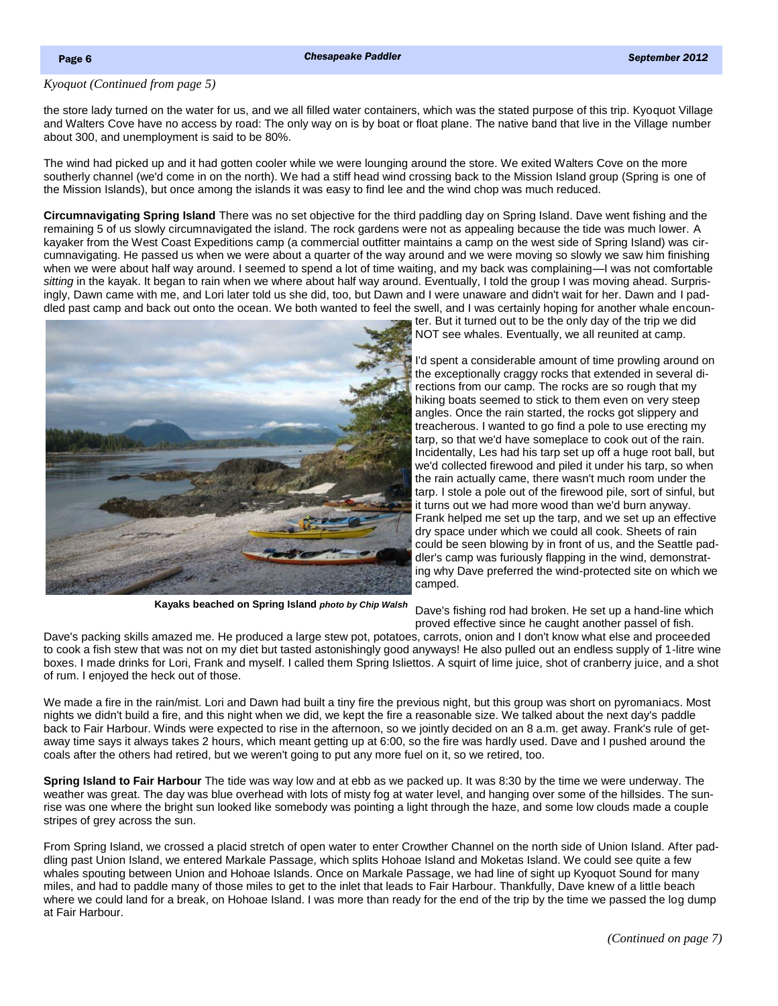#### <span id="page-3-0"></span>*[Kyoquot \(Continued from page 5\)](#page-2-0)*

the store lady turned on the water for us, and we all filled water containers, which was the stated purpose of this trip. Kyoquot Village and Walters Cove have no access by road: The only way on is by boat or float plane. The native band that live in the Village number about 300, and unemployment is said to be 80%.

The wind had picked up and it had gotten cooler while we were lounging around the store. We exited Walters Cove on the more southerly channel (we'd come in on the north). We had a stiff head wind crossing back to the Mission Island group (Spring is one of the Mission Islands), but once among the islands it was easy to find lee and the wind chop was much reduced.

**Circumnavigating Spring Island** There was no set objective for the third paddling day on Spring Island. Dave went fishing and the remaining 5 of us slowly circumnavigated the island. The rock gardens were not as appealing because the tide was much lower. A kayaker from the West Coast Expeditions camp (a commercial outfitter maintains a camp on the west side of Spring Island) was circumnavigating. He passed us when we were about a quarter of the way around and we were moving so slowly we saw him finishing when we were about half way around. I seemed to spend a lot of time waiting, and my back was complaining—I was not comfortable *sitting* in the kayak. It began to rain when we where about half way around. Eventually, I told the group I was moving ahead. Surprisingly, Dawn came with me, and Lori later told us she did, too, but Dawn and I were unaware and didn't wait for her. Dawn and I paddled past camp and back out onto the ocean. We both wanted to feel the swell, and I was certainly hoping for another whale encoun-



ter. But it turned out to be the only day of the trip we did NOT see whales. Eventually, we all reunited at camp.

I'd spent a considerable amount of time prowling around on the exceptionally craggy rocks that extended in several directions from our camp. The rocks are so rough that my hiking boats seemed to stick to them even on very steep angles. Once the rain started, the rocks got slippery and treacherous. I wanted to go find a pole to use erecting my tarp, so that we'd have someplace to cook out of the rain. Incidentally, Les had his tarp set up off a huge root ball, but we'd collected firewood and piled it under his tarp, so when the rain actually came, there wasn't much room under the tarp. I stole a pole out of the firewood pile, sort of sinful, but it turns out we had more wood than we'd burn anyway. Frank helped me set up the tarp, and we set up an effective dry space under which we could all cook. Sheets of rain could be seen blowing by in front of us, and the Seattle paddler's camp was furiously flapping in the wind, demonstrating why Dave preferred the wind-protected site on which we camped.

**Kayaks beached on Spring Island** *photo by Chip Walsh*

Dave's fishing rod had broken. He set up a hand-line which proved effective since he caught another passel of fish.

Dave's packing skills amazed me. He produced a large stew pot, potatoes, carrots, onion and I don't know what else and proceeded to cook a fish stew that was not on my diet but tasted astonishingly good anyways! He also pulled out an endless supply of 1-litre wine boxes. I made drinks for Lori, Frank and myself. I called them Spring Isliettos. A squirt of lime juice, shot of cranberry juice, and a shot of rum. I enjoyed the heck out of those.

We made a fire in the rain/mist. Lori and Dawn had built a tiny fire the previous night, but this group was short on pyromaniacs. Most nights we didn't build a fire, and this night when we did, we kept the fire a reasonable size. We talked about the next day's paddle back to Fair Harbour. Winds were expected to rise in the afternoon, so we jointly decided on an 8 a.m. get away. Frank's rule of getaway time says it always takes 2 hours, which meant getting up at 6:00, so the fire was hardly used. Dave and I pushed around the coals after the others had retired, but we weren't going to put any more fuel on it, so we retired, too.

**Spring Island to Fair Harbour** The tide was way low and at ebb as we packed up. It was 8:30 by the time we were underway. The weather was great. The day was blue overhead with lots of misty fog at water level, and hanging over some of the hillsides. The sunrise was one where the bright sun looked like somebody was pointing a light through the haze, and some low clouds made a couple stripes of grey across the sun.

From Spring Island, we crossed a placid stretch of open water to enter Crowther Channel on the north side of Union Island. After paddling past Union Island, we entered Markale Passage, which splits Hohoae Island and Moketas Island. We could see quite a few whales spouting between Union and Hohoae Islands. Once on Markale Passage, we had line of sight up Kyoquot Sound for many miles, and had to paddle many of those miles to get to the inlet that leads to Fair Harbour. Thankfully, Dave knew of a little beach where we could land for a break, on Hohoae Island. I was more than ready for the end of the trip by the time we passed the log dump at Fair Harbour.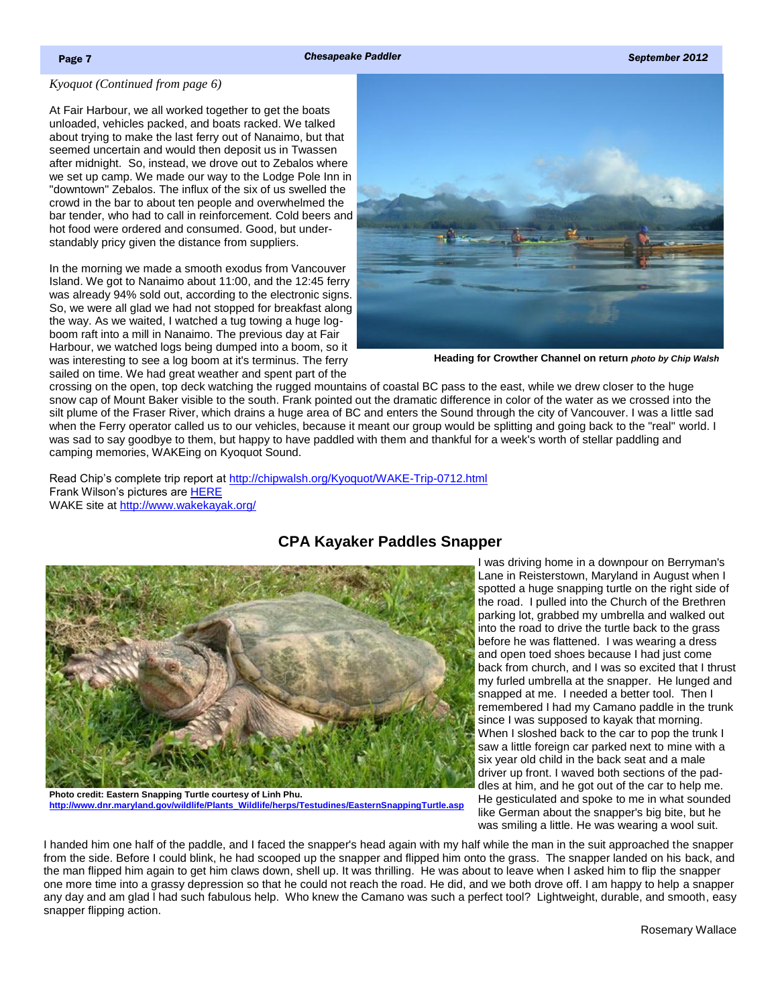#### <span id="page-4-0"></span>*Kyoquot (Continued from page 6)*

At Fair Harbour, we all worked together to get the boats unloaded, vehicles packed, and boats racked. We talked about trying to make the last ferry out of Nanaimo, but that seemed uncertain and would then deposit us in Twassen after midnight. So, instead, we drove out to Zebalos where we set up camp. We made our way to the Lodge Pole Inn in "downtown" Zebalos. The influx of the six of us swelled the crowd in the bar to about ten people and overwhelmed the bar tender, who had to call in reinforcement. Cold beers and hot food were ordered and consumed. Good, but understandably pricy given the distance from suppliers.

In the morning we made a smooth exodus from Vancouver Island. We got to Nanaimo about 11:00, and the 12:45 ferry was already 94% sold out, according to the electronic signs. So, we were all glad we had not stopped for breakfast along the way. As we waited, I watched a tug towing a huge logboom raft into a mill in Nanaimo. The previous day at Fair Harbour, we watched logs being dumped into a boom, so it was interesting to see a log boom at it's terminus. The ferry sailed on time. We had great weather and spent part of the



**Heading for Crowther Channel on return** *photo by Chip Walsh*

crossing on the open, top deck watching the rugged mountains of coastal BC pass to the east, while we drew closer to the huge snow cap of Mount Baker visible to the south. Frank pointed out the dramatic difference in color of the water as we crossed into the silt plume of the Fraser River, which drains a huge area of BC and enters the Sound through the city of Vancouver. I was a little sad when the Ferry operator called us to our vehicles, because it meant our group would be splitting and going back to the "real" world. I was sad to say goodbye to them, but happy to have paddled with them and thankful for a week's worth of stellar paddling and camping memories, WAKEing on Kyoquot Sound.

Read Chip's complete trip report at <http://chipwalsh.org/Kyoquot/WAKE-Trip-0712.html> Frank Wilson's pictures are [HERE](https://plus.google.com/photos/100364644790367479841/albums/5774046852287198993?gpinv=AMIXal-aUmsoTbSwnYk4rUnMO6vzZfhENKunrBnoYXm7uaEjIg_GVpRDdNHSdNjpyYzBBwEqu902Z_cqErhePlhnziDYCYkTJqtcjRWexaFqoiGr70NFHP4) WAKE site at<http://www.wakekayak.org/>

<span id="page-4-1"></span>

### **CPA Kayaker Paddles Snapper**

I was driving home in a downpour on Berryman's Lane in Reisterstown, Maryland in August when I spotted a huge snapping turtle on the right side of the road. I pulled into the Church of the Brethren parking lot, grabbed my umbrella and walked out into the road to drive the turtle back to the grass before he was flattened. I was wearing a dress and open toed shoes because I had just come back from church, and I was so excited that I thrust my furled umbrella at the snapper. He lunged and snapped at me. I needed a better tool. Then I remembered I had my Camano paddle in the trunk since I was supposed to kayak that morning. When I sloshed back to the car to pop the trunk I saw a little foreign car parked next to mine with a six year old child in the back seat and a male driver up front. I waved both sections of the paddles at him, and he got out of the car to help me. He gesticulated and spoke to me in what sounded like German about the snapper's big bite, but he was smiling a little. He was wearing a wool suit.

**Photo credit: Eastern Snapping Turtle courtesy of Linh Phu. [http://www.dnr.maryland.gov/wildlife/Plants\\_Wildlife/herps/Testudines/EasternSnappingTurtle.asp](http://www.dnr.maryland.gov/wildlife/Plants_Wildlife/herps/Testudines/EasternSnappingTurtle.asp)** 

I handed him one half of the paddle, and I faced the snapper's head again with my half while the man in the suit approached the snapper from the side. Before I could blink, he had scooped up the snapper and flipped him onto the grass. The snapper landed on his back, and the man flipped him again to get him claws down, shell up. It was thrilling. He was about to leave when I asked him to flip the snapper one more time into a grassy depression so that he could not reach the road. He did, and we both drove off. I am happy to help a snapper any day and am glad l had such fabulous help. Who knew the Camano was such a perfect tool? Lightweight, durable, and smooth, easy snapper flipping action.